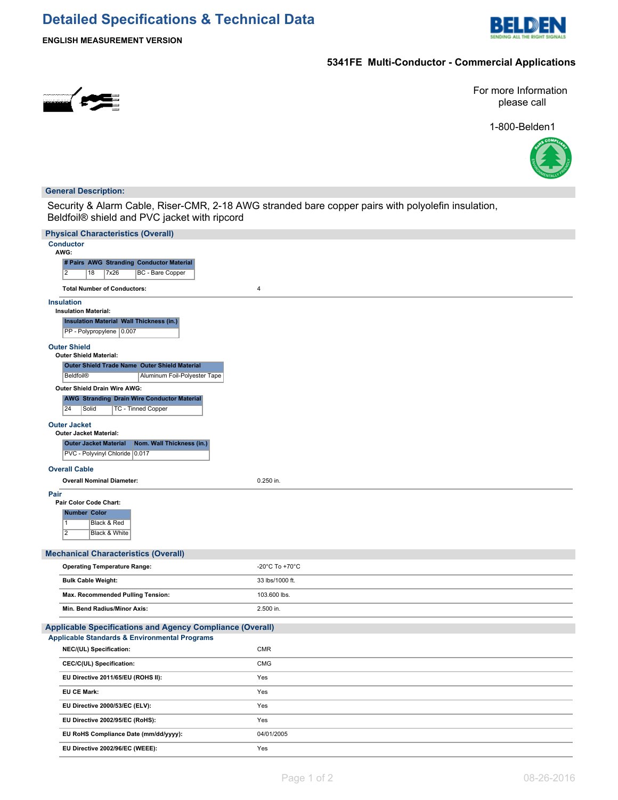# **Detailed Specifications & Technical Data**



**ENGLISH MEASUREMENT VERSION**

## **5341FE Multi-Conductor - Commercial Applications**



For more Information please call

1-800-Belden1



### **General Description:**

Security & Alarm Cable, Riser-CMR, 2-18 AWG stranded bare copper pairs with polyolefin insulation, Beldfoil® shield and PVC jacket with ripcord

| <b>Physical Characteristics (Overall)</b><br><b>Conductor</b>               |                                      |
|-----------------------------------------------------------------------------|--------------------------------------|
| AWG:                                                                        |                                      |
| # Pairs AWG Stranding Conductor Material                                    |                                      |
| $\overline{2}$<br>18<br>7x26<br><b>BC</b> - Bare Copper                     |                                      |
| <b>Total Number of Conductors:</b>                                          | $\overline{\mathbf{4}}$              |
| <b>Insulation</b>                                                           |                                      |
| <b>Insulation Material:</b>                                                 |                                      |
| <b>Insulation Material Wall Thickness (in.)</b><br>PP - Polypropylene 0.007 |                                      |
| <b>Outer Shield</b><br><b>Outer Shield Material:</b>                        |                                      |
| Outer Shield Trade Name Outer Shield Material                               |                                      |
| Beldfoil®<br>Aluminum Foil-Polyester Tape                                   |                                      |
| Outer Shield Drain Wire AWG:                                                |                                      |
| <b>AWG Stranding Drain Wire Conductor Material</b>                          |                                      |
| 24<br>Solid<br><b>TC - Tinned Copper</b>                                    |                                      |
| <b>Outer Jacket</b><br><b>Outer Jacket Material:</b>                        |                                      |
| Nom. Wall Thickness (in.)<br><b>Outer Jacket Material</b>                   |                                      |
| PVC - Polyvinyl Chloride   0.017                                            |                                      |
| <b>Overall Cable</b>                                                        |                                      |
| <b>Overall Nominal Diameter:</b>                                            | 0.250 in.                            |
| Pair                                                                        |                                      |
| Pair Color Code Chart:                                                      |                                      |
| <b>Number Color</b>                                                         |                                      |
| 11<br>Black & Red                                                           |                                      |
| $\overline{2}$<br>Black & White                                             |                                      |
| <b>Mechanical Characteristics (Overall)</b>                                 |                                      |
| <b>Operating Temperature Range:</b>                                         | -20 $^{\circ}$ C To +70 $^{\circ}$ C |
| <b>Bulk Cable Weight:</b>                                                   | 33 lbs/1000 ft.                      |
|                                                                             |                                      |
| Max. Recommended Pulling Tension:                                           | 103.600 lbs.                         |
| Min. Bend Radius/Minor Axis:                                                | 2.500 in.                            |
| <b>Applicable Specifications and Agency Compliance (Overall)</b>            |                                      |
| <b>Applicable Standards &amp; Environmental Programs</b>                    |                                      |
| NEC/(UL) Specification:                                                     | <b>CMR</b>                           |
| CEC/C(UL) Specification:                                                    | <b>CMG</b>                           |
| EU Directive 2011/65/EU (ROHS II):                                          | Yes                                  |
| <b>EU CE Mark:</b>                                                          | Yes                                  |
| EU Directive 2000/53/EC (ELV):                                              | Yes                                  |
| EU Directive 2002/95/EC (RoHS):                                             | Yes                                  |
| EU RoHS Compliance Date (mm/dd/yyyy):                                       | 04/01/2005                           |
| EU Directive 2002/96/EC (WEEE):                                             | Yes                                  |